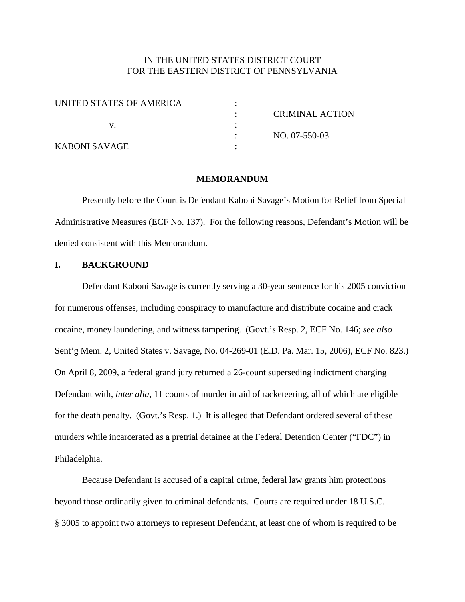# IN THE UNITED STATES DISTRICT COURT FOR THE EASTERN DISTRICT OF PENNSYLVANIA

| UNITED STATES OF AMERICA |                        |
|--------------------------|------------------------|
|                          | <b>CRIMINAL ACTION</b> |
|                          |                        |
|                          | NO. 07-550-03          |
| KABONI SAVAGE            |                        |

#### **MEMORANDUM**

Presently before the Court is Defendant Kaboni Savage's Motion for Relief from Special Administrative Measures (ECF No. 137). For the following reasons, Defendant's Motion will be denied consistent with this Memorandum.

### **I. BACKGROUND**

Defendant Kaboni Savage is currently serving a 30-year sentence for his 2005 conviction for numerous offenses, including conspiracy to manufacture and distribute cocaine and crack cocaine, money laundering, and witness tampering. (Govt.'s Resp. 2, ECF No. 146; *see also* Sent'g Mem. 2, United States v. Savage, No. 04-269-01 (E.D. Pa. Mar. 15, 2006), ECF No. 823.) On April 8, 2009, a federal grand jury returned a 26-count superseding indictment charging Defendant with, *inter alia*, 11 counts of murder in aid of racketeering, all of which are eligible for the death penalty. (Govt.'s Resp. 1.) It is alleged that Defendant ordered several of these murders while incarcerated as a pretrial detainee at the Federal Detention Center ("FDC") in Philadelphia.

Because Defendant is accused of a capital crime, federal law grants him protections beyond those ordinarily given to criminal defendants. Courts are required under 18 U.S.C. § 3005 to appoint two attorneys to represent Defendant, at least one of whom is required to be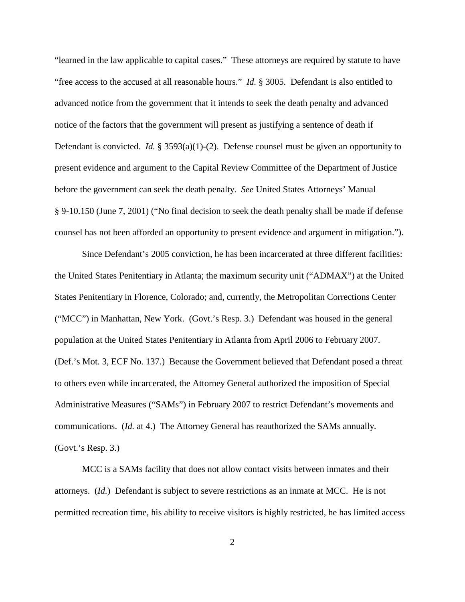"learned in the law applicable to capital cases." These attorneys are required by statute to have "free access to the accused at all reasonable hours." *Id.* § 3005. Defendant is also entitled to advanced notice from the government that it intends to seek the death penalty and advanced notice of the factors that the government will present as justifying a sentence of death if Defendant is convicted. *Id.* § 3593(a)(1)-(2). Defense counsel must be given an opportunity to present evidence and argument to the Capital Review Committee of the Department of Justice before the government can seek the death penalty. *See* United States Attorneys' Manual § 9-10.150 (June 7, 2001) ("No final decision to seek the death penalty shall be made if defense counsel has not been afforded an opportunity to present evidence and argument in mitigation.").

Since Defendant's 2005 conviction, he has been incarcerated at three different facilities: the United States Penitentiary in Atlanta; the maximum security unit ("ADMAX") at the United States Penitentiary in Florence, Colorado; and, currently, the Metropolitan Corrections Center ("MCC") in Manhattan, New York. (Govt.'s Resp. 3.) Defendant was housed in the general population at the United States Penitentiary in Atlanta from April 2006 to February 2007. (Def.'s Mot. 3, ECF No. 137.) Because the Government believed that Defendant posed a threat to others even while incarcerated, the Attorney General authorized the imposition of Special Administrative Measures ("SAMs") in February 2007 to restrict Defendant's movements and communications. (*Id.* at 4.) The Attorney General has reauthorized the SAMs annually. (Govt.'s Resp. 3.)

MCC is a SAMs facility that does not allow contact visits between inmates and their attorneys. (*Id.*) Defendant is subject to severe restrictions as an inmate at MCC. He is not permitted recreation time, his ability to receive visitors is highly restricted, he has limited access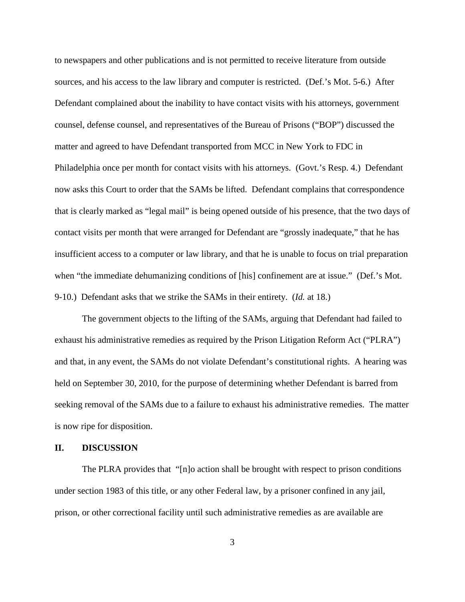to newspapers and other publications and is not permitted to receive literature from outside sources, and his access to the law library and computer is restricted. (Def.'s Mot. 5-6.) After Defendant complained about the inability to have contact visits with his attorneys, government counsel, defense counsel, and representatives of the Bureau of Prisons ("BOP") discussed the matter and agreed to have Defendant transported from MCC in New York to FDC in Philadelphia once per month for contact visits with his attorneys. (Govt.'s Resp. 4.) Defendant now asks this Court to order that the SAMs be lifted. Defendant complains that correspondence that is clearly marked as "legal mail" is being opened outside of his presence, that the two days of contact visits per month that were arranged for Defendant are "grossly inadequate," that he has insufficient access to a computer or law library, and that he is unable to focus on trial preparation when "the immediate dehumanizing conditions of [his] confinement are at issue." (Def.'s Mot. 9-10.) Defendant asks that we strike the SAMs in their entirety. (*Id.* at 18.)

The government objects to the lifting of the SAMs, arguing that Defendant had failed to exhaust his administrative remedies as required by the Prison Litigation Reform Act ("PLRA") and that, in any event, the SAMs do not violate Defendant's constitutional rights. A hearing was held on September 30, 2010, for the purpose of determining whether Defendant is barred from seeking removal of the SAMs due to a failure to exhaust his administrative remedies. The matter is now ripe for disposition.

### **II. DISCUSSION**

The PLRA provides that "[n]o action shall be brought with respect to prison conditions under section 1983 of this title, or any other Federal law, by a prisoner confined in any jail, prison, or other correctional facility until such administrative remedies as are available are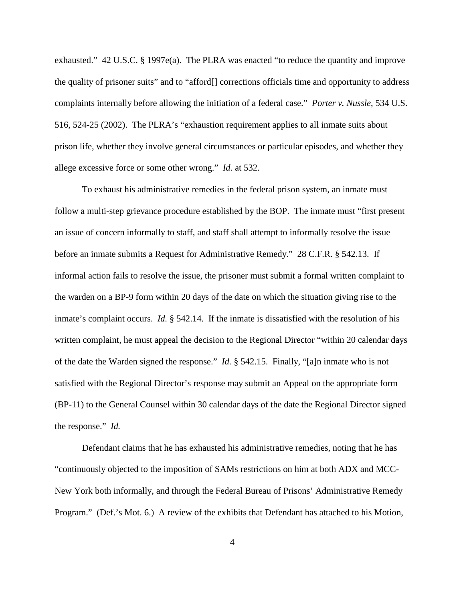exhausted." 42 U.S.C. § 1997e(a). The PLRA was enacted "to reduce the quantity and improve the quality of prisoner suits" and to "afford[] corrections officials time and opportunity to address complaints internally before allowing the initiation of a federal case." *Porter v. Nussle*, 534 U.S. 516, 524-25 (2002). The PLRA's "exhaustion requirement applies to all inmate suits about prison life, whether they involve general circumstances or particular episodes, and whether they allege excessive force or some other wrong." *Id.* at 532.

To exhaust his administrative remedies in the federal prison system, an inmate must follow a multi-step grievance procedure established by the BOP. The inmate must "first present an issue of concern informally to staff, and staff shall attempt to informally resolve the issue before an inmate submits a Request for Administrative Remedy." 28 C.F.R. § 542.13. If informal action fails to resolve the issue, the prisoner must submit a formal written complaint to the warden on a BP-9 form within 20 days of the date on which the situation giving rise to the inmate's complaint occurs. *Id.* § 542.14. If the inmate is dissatisfied with the resolution of his written complaint, he must appeal the decision to the Regional Director "within 20 calendar days of the date the Warden signed the response." *Id.* § 542.15. Finally, "[a]n inmate who is not satisfied with the Regional Director's response may submit an Appeal on the appropriate form (BP-11) to the General Counsel within 30 calendar days of the date the Regional Director signed the response." *Id.*

Defendant claims that he has exhausted his administrative remedies, noting that he has "continuously objected to the imposition of SAMs restrictions on him at both ADX and MCC-New York both informally, and through the Federal Bureau of Prisons' Administrative Remedy Program." (Def.'s Mot. 6.) A review of the exhibits that Defendant has attached to his Motion,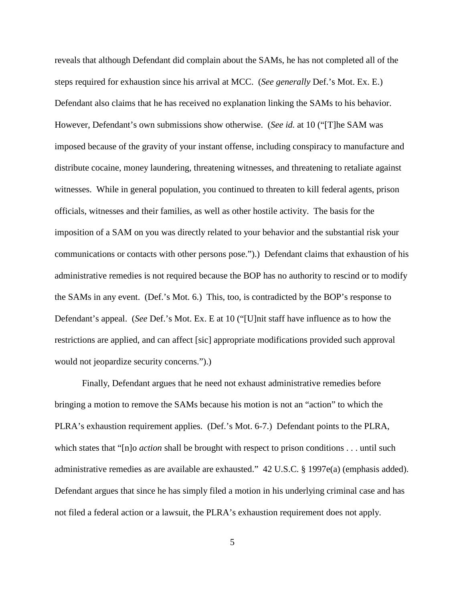reveals that although Defendant did complain about the SAMs, he has not completed all of the steps required for exhaustion since his arrival at MCC. (*See generally* Def.'s Mot. Ex. E.) Defendant also claims that he has received no explanation linking the SAMs to his behavior. However, Defendant's own submissions show otherwise. (*See id.* at 10 ("[T]he SAM was imposed because of the gravity of your instant offense, including conspiracy to manufacture and distribute cocaine, money laundering, threatening witnesses, and threatening to retaliate against witnesses. While in general population, you continued to threaten to kill federal agents, prison officials, witnesses and their families, as well as other hostile activity. The basis for the imposition of a SAM on you was directly related to your behavior and the substantial risk your communications or contacts with other persons pose.").) Defendant claims that exhaustion of his administrative remedies is not required because the BOP has no authority to rescind or to modify the SAMs in any event. (Def.'s Mot. 6.) This, too, is contradicted by the BOP's response to Defendant's appeal. (*See* Def.'s Mot. Ex. E at 10 ("[U]nit staff have influence as to how the restrictions are applied, and can affect [sic] appropriate modifications provided such approval would not jeopardize security concerns.").)

Finally, Defendant argues that he need not exhaust administrative remedies before bringing a motion to remove the SAMs because his motion is not an "action" to which the PLRA's exhaustion requirement applies. (Def.'s Mot. 6-7.) Defendant points to the PLRA, which states that "[n]o *action* shall be brought with respect to prison conditions . . . until such administrative remedies as are available are exhausted." 42 U.S.C. § 1997e(a) (emphasis added). Defendant argues that since he has simply filed a motion in his underlying criminal case and has not filed a federal action or a lawsuit, the PLRA's exhaustion requirement does not apply.

5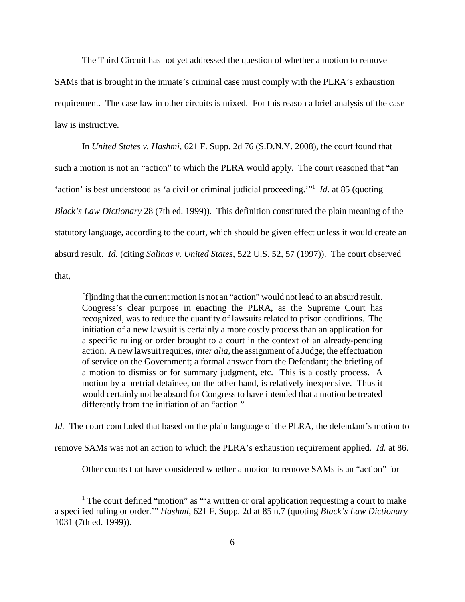The Third Circuit has not yet addressed the question of whether a motion to remove SAMs that is brought in the inmate's criminal case must comply with the PLRA's exhaustion requirement. The case law in other circuits is mixed. For this reason a brief analysis of the case law is instructive.

In *United States v. Hashmi*, 621 F. Supp. 2d 76 (S.D.N.Y. 2008), the court found that such a motion is not an "action" to which the PLRA would apply. The court reasoned that "an 'action' is best understood as 'a civil or criminal judicial proceeding.'"1 *Id.* at 85 (quoting *Black's Law Dictionary* 28 (7th ed. 1999)). This definition constituted the plain meaning of the statutory language, according to the court, which should be given effect unless it would create an absurd result. *Id.* (citing *Salinas v. United States*, 522 U.S. 52, 57 (1997)). The court observed that,

[f]inding that the current motion is not an "action" would not lead to an absurd result. Congress's clear purpose in enacting the PLRA, as the Supreme Court has recognized, was to reduce the quantity of lawsuits related to prison conditions. The initiation of a new lawsuit is certainly a more costly process than an application for a specific ruling or order brought to a court in the context of an already-pending action. A new lawsuit requires, *inter alia*, the assignment of a Judge; the effectuation of service on the Government; a formal answer from the Defendant; the briefing of a motion to dismiss or for summary judgment, etc. This is a costly process. A motion by a pretrial detainee, on the other hand, is relatively inexpensive. Thus it would certainly not be absurd for Congress to have intended that a motion be treated differently from the initiation of an "action."

*Id.* The court concluded that based on the plain language of the PLRA, the defendant's motion to

remove SAMs was not an action to which the PLRA's exhaustion requirement applied. *Id.* at 86.

Other courts that have considered whether a motion to remove SAMs is an "action" for

<sup>&</sup>lt;sup>1</sup> The court defined "motion" as "'a written or oral application requesting a court to make a specified ruling or order.'" *Hashmi*, 621 F. Supp. 2d at 85 n.7 (quoting *Black's Law Dictionary* 1031 (7th ed. 1999)).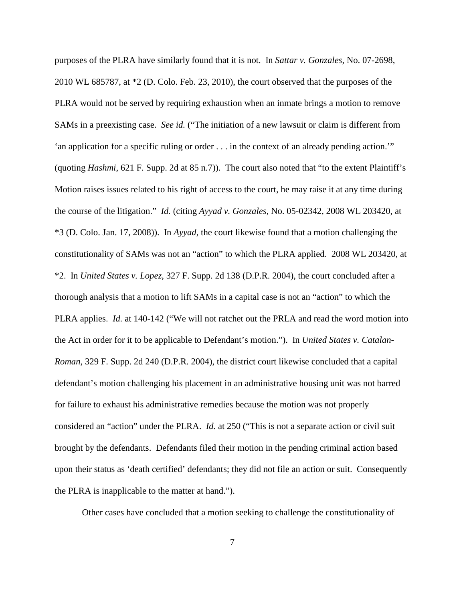purposes of the PLRA have similarly found that it is not. In *Sattar v. Gonzales*, No. 07-2698, 2010 WL 685787, at \*2 (D. Colo. Feb. 23, 2010), the court observed that the purposes of the PLRA would not be served by requiring exhaustion when an inmate brings a motion to remove SAMs in a preexisting case. *See id.* ("The initiation of a new lawsuit or claim is different from 'an application for a specific ruling or order . . . in the context of an already pending action.'" (quoting *Hashmi*, 621 F. Supp. 2d at 85 n.7)). The court also noted that "to the extent Plaintiff's Motion raises issues related to his right of access to the court, he may raise it at any time during the course of the litigation." *Id.* (citing *Ayyad v. Gonzales*, No. 05-02342, 2008 WL 203420, at \*3 (D. Colo. Jan. 17, 2008)). In *Ayyad*, the court likewise found that a motion challenging the constitutionality of SAMs was not an "action" to which the PLRA applied. 2008 WL 203420, at \*2. In *United States v. Lopez*, 327 F. Supp. 2d 138 (D.P.R. 2004), the court concluded after a thorough analysis that a motion to lift SAMs in a capital case is not an "action" to which the PLRA applies. *Id.* at 140-142 ("We will not ratchet out the PRLA and read the word motion into the Act in order for it to be applicable to Defendant's motion."). In *United States v. Catalan-Roman*, 329 F. Supp. 2d 240 (D.P.R. 2004), the district court likewise concluded that a capital defendant's motion challenging his placement in an administrative housing unit was not barred for failure to exhaust his administrative remedies because the motion was not properly considered an "action" under the PLRA. *Id.* at 250 ("This is not a separate action or civil suit brought by the defendants. Defendants filed their motion in the pending criminal action based upon their status as 'death certified' defendants; they did not file an action or suit. Consequently the PLRA is inapplicable to the matter at hand.").

Other cases have concluded that a motion seeking to challenge the constitutionality of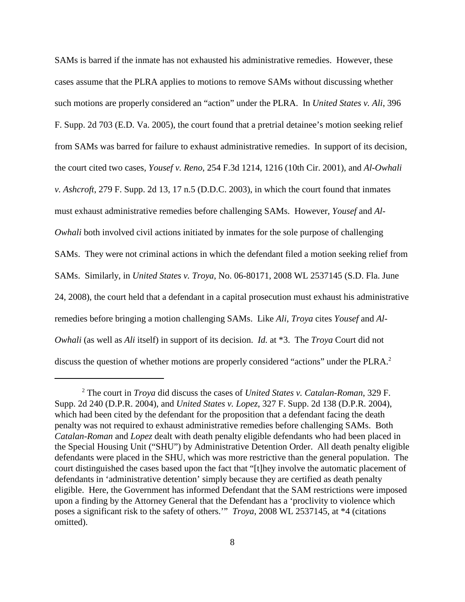SAMs is barred if the inmate has not exhausted his administrative remedies. However, these cases assume that the PLRA applies to motions to remove SAMs without discussing whether such motions are properly considered an "action" under the PLRA. In *United States v. Ali*, 396 F. Supp. 2d 703 (E.D. Va. 2005), the court found that a pretrial detainee's motion seeking relief from SAMs was barred for failure to exhaust administrative remedies. In support of its decision, the court cited two cases, *Yousef v. Reno*, 254 F.3d 1214, 1216 (10th Cir. 2001), and *Al-Owhali v. Ashcroft*, 279 F. Supp. 2d 13, 17 n.5 (D.D.C. 2003), in which the court found that inmates must exhaust administrative remedies before challenging SAMs. However, *Yousef* and *Al-Owhali* both involved civil actions initiated by inmates for the sole purpose of challenging SAMs. They were not criminal actions in which the defendant filed a motion seeking relief from SAMs. Similarly, in *United States v. Troya*, No. 06-80171, 2008 WL 2537145 (S.D. Fla. June 24, 2008), the court held that a defendant in a capital prosecution must exhaust his administrative remedies before bringing a motion challenging SAMs. Like *Ali*, *Troya* cites *Yousef* and *Al-Owhali* (as well as *Ali* itself) in support of its decision. *Id.* at \*3. The *Troya* Court did not discuss the question of whether motions are properly considered "actions" under the PLRA. 2

<sup>2</sup> The court in *Troya* did discuss the cases of *United States v. Catalan-Roman*, 329 F. Supp. 2d 240 (D.P.R. 2004), and *United States v. Lopez*, 327 F. Supp. 2d 138 (D.P.R. 2004), which had been cited by the defendant for the proposition that a defendant facing the death penalty was not required to exhaust administrative remedies before challenging SAMs. Both *Catalan-Roman* and *Lopez* dealt with death penalty eligible defendants who had been placed in the Special Housing Unit ("SHU") by Administrative Detention Order. All death penalty eligible defendants were placed in the SHU, which was more restrictive than the general population. The court distinguished the cases based upon the fact that "[t]hey involve the automatic placement of defendants in 'administrative detention' simply because they are certified as death penalty eligible. Here, the Government has informed Defendant that the SAM restrictions were imposed upon a finding by the Attorney General that the Defendant has a 'proclivity to violence which poses a significant risk to the safety of others.'" *Troya*, 2008 WL 2537145, at \*4 (citations omitted).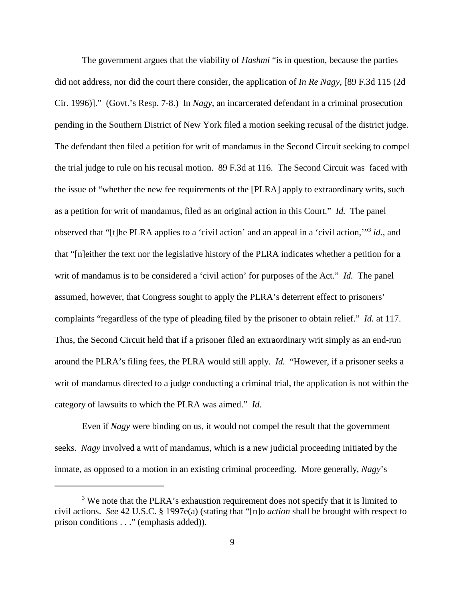The government argues that the viability of *Hashmi* "is in question, because the parties did not address, nor did the court there consider, the application of *In Re Nagy*, [89 F.3d 115 (2d Cir. 1996)]." (Govt.'s Resp. 7-8.) In *Nagy*, an incarcerated defendant in a criminal prosecution pending in the Southern District of New York filed a motion seeking recusal of the district judge. The defendant then filed a petition for writ of mandamus in the Second Circuit seeking to compel the trial judge to rule on his recusal motion. 89 F.3d at 116. The Second Circuit was faced with the issue of "whether the new fee requirements of the [PLRA] apply to extraordinary writs, such as a petition for writ of mandamus, filed as an original action in this Court." *Id.* The panel observed that "[t]he PLRA applies to a 'civil action' and an appeal in a 'civil action,'"3 *id.*, and that "[n]either the text nor the legislative history of the PLRA indicates whether a petition for a writ of mandamus is to be considered a 'civil action' for purposes of the Act." *Id.* The panel assumed, however, that Congress sought to apply the PLRA's deterrent effect to prisoners' complaints "regardless of the type of pleading filed by the prisoner to obtain relief." *Id.* at 117. Thus, the Second Circuit held that if a prisoner filed an extraordinary writ simply as an end-run around the PLRA's filing fees, the PLRA would still apply. *Id.* "However, if a prisoner seeks a writ of mandamus directed to a judge conducting a criminal trial, the application is not within the category of lawsuits to which the PLRA was aimed." *Id.*

Even if *Nagy* were binding on us, it would not compel the result that the government seeks. *Nagy* involved a writ of mandamus, which is a new judicial proceeding initiated by the inmate, as opposed to a motion in an existing criminal proceeding. More generally, *Nagy*'s

<sup>&</sup>lt;sup>3</sup> We note that the PLRA's exhaustion requirement does not specify that it is limited to civil actions. *See* 42 U.S.C. § 1997e(a) (stating that "[n]o *action* shall be brought with respect to prison conditions . . ." (emphasis added)).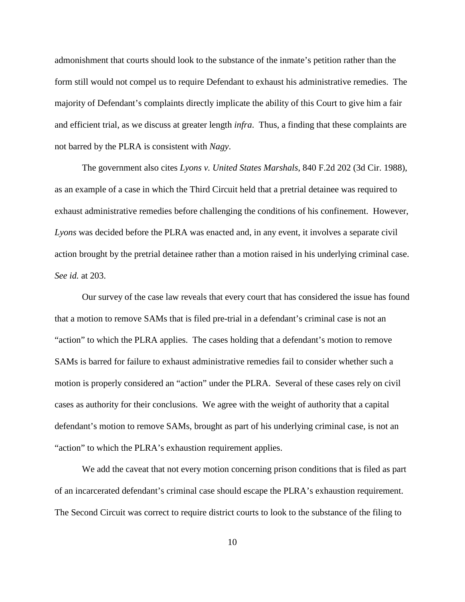admonishment that courts should look to the substance of the inmate's petition rather than the form still would not compel us to require Defendant to exhaust his administrative remedies. The majority of Defendant's complaints directly implicate the ability of this Court to give him a fair and efficient trial, as we discuss at greater length *infra*. Thus, a finding that these complaints are not barred by the PLRA is consistent with *Nagy*.

The government also cites *Lyons v. United States Marshals*, 840 F.2d 202 (3d Cir. 1988), as an example of a case in which the Third Circuit held that a pretrial detainee was required to exhaust administrative remedies before challenging the conditions of his confinement. However, *Lyons* was decided before the PLRA was enacted and, in any event, it involves a separate civil action brought by the pretrial detainee rather than a motion raised in his underlying criminal case. *See id.* at 203.

Our survey of the case law reveals that every court that has considered the issue has found that a motion to remove SAMs that is filed pre-trial in a defendant's criminal case is not an "action" to which the PLRA applies. The cases holding that a defendant's motion to remove SAMs is barred for failure to exhaust administrative remedies fail to consider whether such a motion is properly considered an "action" under the PLRA. Several of these cases rely on civil cases as authority for their conclusions. We agree with the weight of authority that a capital defendant's motion to remove SAMs, brought as part of his underlying criminal case, is not an "action" to which the PLRA's exhaustion requirement applies.

We add the caveat that not every motion concerning prison conditions that is filed as part of an incarcerated defendant's criminal case should escape the PLRA's exhaustion requirement. The Second Circuit was correct to require district courts to look to the substance of the filing to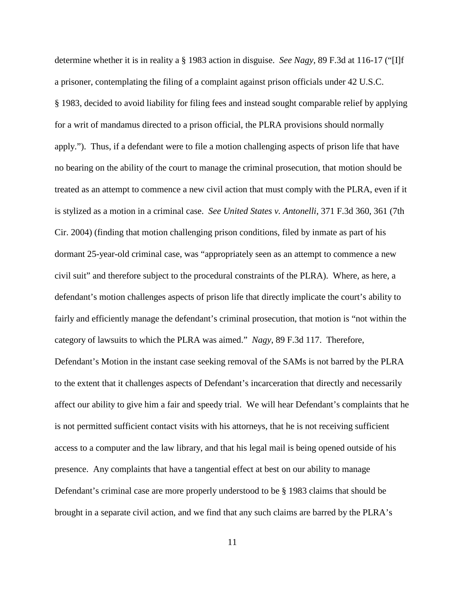determine whether it is in reality a § 1983 action in disguise. *See Nagy*, 89 F.3d at 116-17 ("[I]f a prisoner, contemplating the filing of a complaint against prison officials under 42 U.S.C. § 1983, decided to avoid liability for filing fees and instead sought comparable relief by applying for a writ of mandamus directed to a prison official, the PLRA provisions should normally apply."). Thus, if a defendant were to file a motion challenging aspects of prison life that have no bearing on the ability of the court to manage the criminal prosecution, that motion should be treated as an attempt to commence a new civil action that must comply with the PLRA, even if it is stylized as a motion in a criminal case. *See United States v. Antonelli*, 371 F.3d 360, 361 (7th Cir. 2004) (finding that motion challenging prison conditions, filed by inmate as part of his dormant 25-year-old criminal case, was "appropriately seen as an attempt to commence a new civil suit" and therefore subject to the procedural constraints of the PLRA). Where, as here, a defendant's motion challenges aspects of prison life that directly implicate the court's ability to fairly and efficiently manage the defendant's criminal prosecution, that motion is "not within the category of lawsuits to which the PLRA was aimed." *Nagy*, 89 F.3d 117. Therefore, Defendant's Motion in the instant case seeking removal of the SAMs is not barred by the PLRA to the extent that it challenges aspects of Defendant's incarceration that directly and necessarily affect our ability to give him a fair and speedy trial. We will hear Defendant's complaints that he is not permitted sufficient contact visits with his attorneys, that he is not receiving sufficient access to a computer and the law library, and that his legal mail is being opened outside of his presence. Any complaints that have a tangential effect at best on our ability to manage Defendant's criminal case are more properly understood to be § 1983 claims that should be brought in a separate civil action, and we find that any such claims are barred by the PLRA's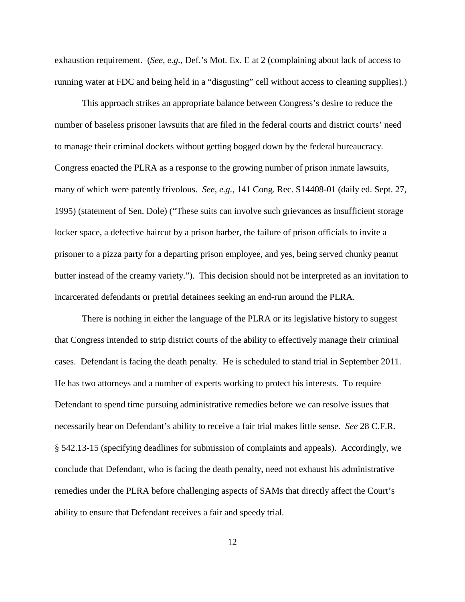exhaustion requirement. (*See, e.g.*, Def.'s Mot. Ex. E at 2 (complaining about lack of access to running water at FDC and being held in a "disgusting" cell without access to cleaning supplies).)

This approach strikes an appropriate balance between Congress's desire to reduce the number of baseless prisoner lawsuits that are filed in the federal courts and district courts' need to manage their criminal dockets without getting bogged down by the federal bureaucracy. Congress enacted the PLRA as a response to the growing number of prison inmate lawsuits, many of which were patently frivolous. *See, e.g.*, 141 Cong. Rec. S14408-01 (daily ed. Sept. 27, 1995) (statement of Sen. Dole) ("These suits can involve such grievances as insufficient storage locker space, a defective haircut by a prison barber, the failure of prison officials to invite a prisoner to a pizza party for a departing prison employee, and yes, being served chunky peanut butter instead of the creamy variety."). This decision should not be interpreted as an invitation to incarcerated defendants or pretrial detainees seeking an end-run around the PLRA.

There is nothing in either the language of the PLRA or its legislative history to suggest that Congress intended to strip district courts of the ability to effectively manage their criminal cases. Defendant is facing the death penalty. He is scheduled to stand trial in September 2011. He has two attorneys and a number of experts working to protect his interests. To require Defendant to spend time pursuing administrative remedies before we can resolve issues that necessarily bear on Defendant's ability to receive a fair trial makes little sense. *See* 28 C.F.R. § 542.13-15 (specifying deadlines for submission of complaints and appeals). Accordingly, we conclude that Defendant, who is facing the death penalty, need not exhaust his administrative remedies under the PLRA before challenging aspects of SAMs that directly affect the Court's ability to ensure that Defendant receives a fair and speedy trial.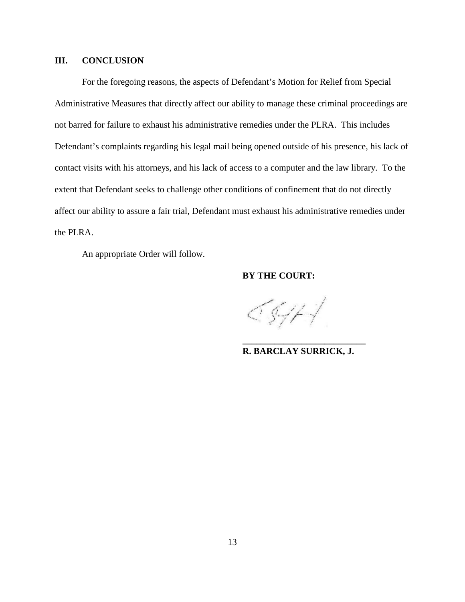# **III. CONCLUSION**

For the foregoing reasons, the aspects of Defendant's Motion for Relief from Special Administrative Measures that directly affect our ability to manage these criminal proceedings are not barred for failure to exhaust his administrative remedies under the PLRA. This includes Defendant's complaints regarding his legal mail being opened outside of his presence, his lack of contact visits with his attorneys, and his lack of access to a computer and the law library. To the extent that Defendant seeks to challenge other conditions of confinement that do not directly affect our ability to assure a fair trial, Defendant must exhaust his administrative remedies under the PLRA.

An appropriate Order will follow.

# **BY THE COURT:**

<547 |

**R. BARCLAY SURRICK, J.**

**\_\_\_\_\_\_\_\_\_\_\_\_\_\_\_\_\_\_\_\_\_\_\_\_\_\_\_**